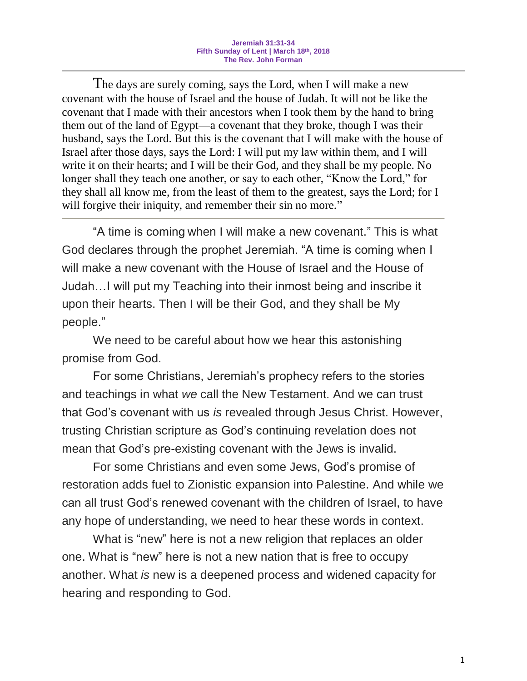The days are surely coming, says the Lord, when I will make a new covenant with the house of Israel and the house of Judah. It will not be like the covenant that I made with their ancestors when I took them by the hand to bring them out of the land of Egypt—a covenant that they broke, though I was their husband, says the Lord. But this is the covenant that I will make with the house of Israel after those days, says the Lord: I will put my law within them, and I will write it on their hearts; and I will be their God, and they shall be my people. No longer shall they teach one another, or say to each other, "Know the Lord," for they shall all know me, from the least of them to the greatest, says the Lord; for I will forgive their iniquity, and remember their sin no more."

"A time is coming when I will make a new covenant." This is what God declares through the prophet Jeremiah. "A time is coming when I will make a new covenant with the House of Israel and the House of Judah…I will put my Teaching into their inmost being and inscribe it upon their hearts. Then I will be their God, and they shall be My people."

We need to be careful about how we hear this astonishing promise from God.

For some Christians, Jeremiah's prophecy refers to the stories and teachings in what *we* call the New Testament. And we can trust that God's covenant with us *is* revealed through Jesus Christ. However, trusting Christian scripture as God's continuing revelation does not mean that God's pre-existing covenant with the Jews is invalid.

For some Christians and even some Jews, God's promise of restoration adds fuel to Zionistic expansion into Palestine. And while we can all trust God's renewed covenant with the children of Israel, to have any hope of understanding, we need to hear these words in context.

What is "new" here is not a new religion that replaces an older one. What is "new" here is not a new nation that is free to occupy another. What *is* new is a deepened process and widened capacity for hearing and responding to God.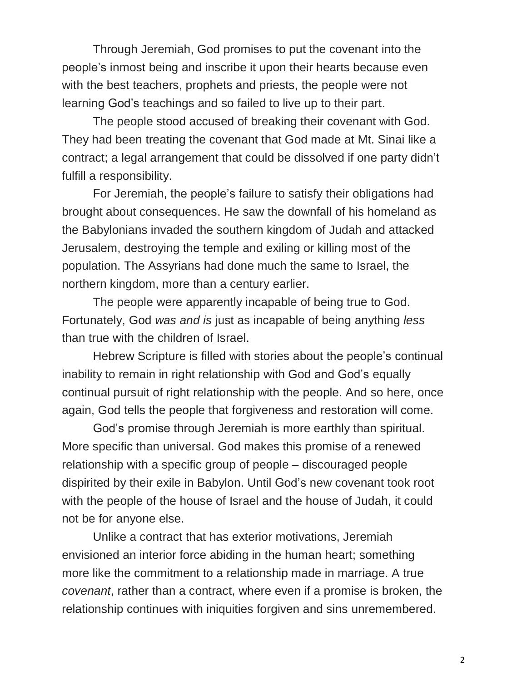Through Jeremiah, God promises to put the covenant into the people's inmost being and inscribe it upon their hearts because even with the best teachers, prophets and priests, the people were not learning God's teachings and so failed to live up to their part.

The people stood accused of breaking their covenant with God. They had been treating the covenant that God made at Mt. Sinai like a contract; a legal arrangement that could be dissolved if one party didn't fulfill a responsibility.

For Jeremiah, the people's failure to satisfy their obligations had brought about consequences. He saw the downfall of his homeland as the Babylonians invaded the southern kingdom of Judah and attacked Jerusalem, destroying the temple and exiling or killing most of the population. The Assyrians had done much the same to Israel, the northern kingdom, more than a century earlier.

The people were apparently incapable of being true to God. Fortunately, God *was and is* just as incapable of being anything *less*  than true with the children of Israel.

Hebrew Scripture is filled with stories about the people's continual inability to remain in right relationship with God and God's equally continual pursuit of right relationship with the people. And so here, once again, God tells the people that forgiveness and restoration will come.

God's promise through Jeremiah is more earthly than spiritual. More specific than universal. God makes this promise of a renewed relationship with a specific group of people – discouraged people dispirited by their exile in Babylon. Until God's new covenant took root with the people of the house of Israel and the house of Judah, it could not be for anyone else.

Unlike a contract that has exterior motivations, Jeremiah envisioned an interior force abiding in the human heart; something more like the commitment to a relationship made in marriage. A true *covenant*, rather than a contract, where even if a promise is broken, the relationship continues with iniquities forgiven and sins unremembered.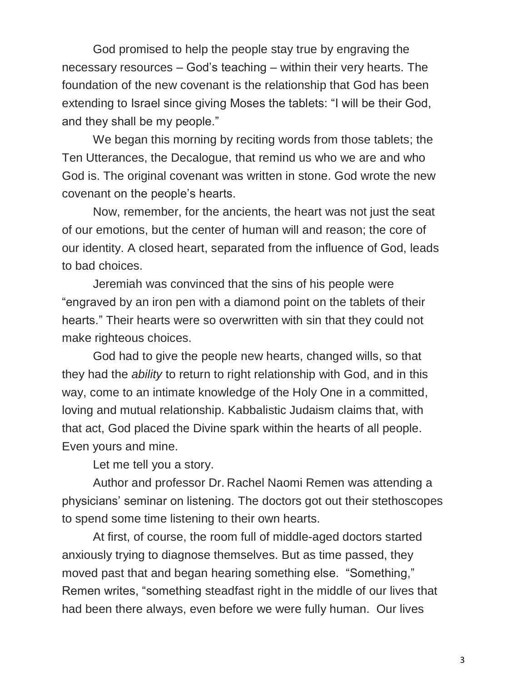God promised to help the people stay true by engraving the necessary resources – God's teaching – within their very hearts. The foundation of the new covenant is the relationship that God has been extending to Israel since giving Moses the tablets: "I will be their God, and they shall be my people."

We began this morning by reciting words from those tablets; the Ten Utterances, the Decalogue, that remind us who we are and who God is. The original covenant was written in stone. God wrote the new covenant on the people's hearts.

Now, remember, for the ancients, the heart was not just the seat of our emotions, but the center of human will and reason; the core of our identity. A closed heart, separated from the influence of God, leads to bad choices.

Jeremiah was convinced that the sins of his people were "engraved by an iron pen with a diamond point on the tablets of their hearts." Their hearts were so overwritten with sin that they could not make righteous choices.

God had to give the people new hearts, changed wills, so that they had the *ability* to return to right relationship with God, and in this way, come to an intimate knowledge of the Holy One in a committed, loving and mutual relationship. Kabbalistic Judaism claims that, with that act, God placed the Divine spark within the hearts of all people. Even yours and mine.

Let me tell you a story.

Author and professor Dr. Rachel Naomi Remen was attending a physicians' seminar on listening. The doctors got out their stethoscopes to spend some time listening to their own hearts.

At first, of course, the room full of middle-aged doctors started anxiously trying to diagnose themselves. But as time passed, they moved past that and began hearing something else. "Something," Remen writes, "something steadfast right in the middle of our lives that had been there always, even before we were fully human. Our lives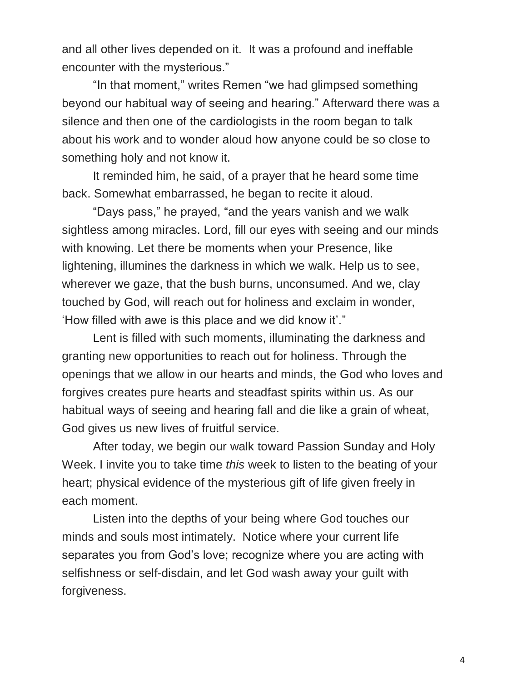and all other lives depended on it. It was a profound and ineffable encounter with the mysterious."

"In that moment," writes Remen "we had glimpsed something beyond our habitual way of seeing and hearing." Afterward there was a silence and then one of the cardiologists in the room began to talk about his work and to wonder aloud how anyone could be so close to something holy and not know it.

It reminded him, he said, of a prayer that he heard some time back. Somewhat embarrassed, he began to recite it aloud.

"Days pass," he prayed, "and the years vanish and we walk sightless among miracles. Lord, fill our eyes with seeing and our minds with knowing. Let there be moments when your Presence, like lightening, illumines the darkness in which we walk. Help us to see, wherever we gaze, that the bush burns, unconsumed. And we, clay touched by God, will reach out for holiness and exclaim in wonder, 'How filled with awe is this place and we did know it'."

Lent is filled with such moments, illuminating the darkness and granting new opportunities to reach out for holiness. Through the openings that we allow in our hearts and minds, the God who loves and forgives creates pure hearts and steadfast spirits within us. As our habitual ways of seeing and hearing fall and die like a grain of wheat, God gives us new lives of fruitful service.

After today, we begin our walk toward Passion Sunday and Holy Week. I invite you to take time *this* week to listen to the beating of your heart; physical evidence of the mysterious gift of life given freely in each moment.

Listen into the depths of your being where God touches our minds and souls most intimately. Notice where your current life separates you from God's love; recognize where you are acting with selfishness or self-disdain, and let God wash away your guilt with forgiveness.